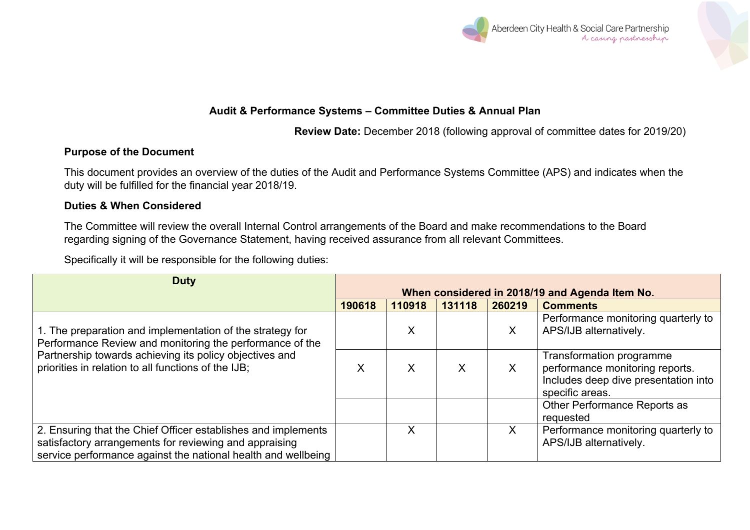

## **Audit & Performance Systems – Committee Duties & Annual Plan**

**Review Date:** December 2018 (following approval of committee dates for 2019/20)

## **Purpose of the Document**

This document provides an overview of the duties of the Audit and Performance Systems Committee (APS) and indicates when the duty will be fulfilled for the financial year 2018/19.

## **Duties & When Considered**

The Committee will review the overall Internal Control arrangements of the Board and make recommendations to the Board regarding signing of the Governance Statement, having received assurance from all relevant Committees.

Specifically it will be responsible for the following duties:

| <b>Duty</b>                                                                                                                                                                                                                             | When considered in 2018/19 and Agenda Item No. |        |        |         |                                                                                                                        |  |
|-----------------------------------------------------------------------------------------------------------------------------------------------------------------------------------------------------------------------------------------|------------------------------------------------|--------|--------|---------|------------------------------------------------------------------------------------------------------------------------|--|
|                                                                                                                                                                                                                                         | 190618                                         | 110918 | 131118 | 260219  | <b>Comments</b>                                                                                                        |  |
| 1. The preparation and implementation of the strategy for<br>Performance Review and monitoring the performance of the<br>Partnership towards achieving its policy objectives and<br>priorities in relation to all functions of the IJB; |                                                | X      |        | X       | Performance monitoring quarterly to<br>APS/IJB alternatively.                                                          |  |
|                                                                                                                                                                                                                                         | X                                              | X      | X      | X       | Transformation programme<br>performance monitoring reports.<br>Includes deep dive presentation into<br>specific areas. |  |
|                                                                                                                                                                                                                                         |                                                |        |        |         | Other Performance Reports as<br>requested                                                                              |  |
| 2. Ensuring that the Chief Officer establishes and implements<br>satisfactory arrangements for reviewing and appraising<br>service performance against the national health and wellbeing                                                |                                                | Χ      |        | $\sf X$ | Performance monitoring quarterly to<br>APS/IJB alternatively.                                                          |  |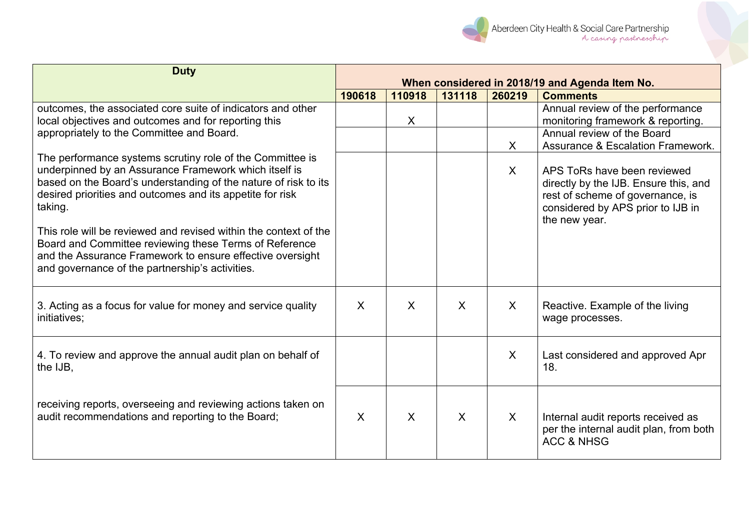|                                                                                                                                                                                                                                                               |                                                |              |              |        | Aberdeen City Health & Social Care Partnership<br>A casing partnership                                                                                         |  |
|---------------------------------------------------------------------------------------------------------------------------------------------------------------------------------------------------------------------------------------------------------------|------------------------------------------------|--------------|--------------|--------|----------------------------------------------------------------------------------------------------------------------------------------------------------------|--|
| <b>Duty</b>                                                                                                                                                                                                                                                   | When considered in 2018/19 and Agenda Item No. |              |              |        |                                                                                                                                                                |  |
|                                                                                                                                                                                                                                                               | 190618                                         | 110918       | 131118       | 260219 | <b>Comments</b>                                                                                                                                                |  |
| outcomes, the associated core suite of indicators and other<br>local objectives and outcomes and for reporting this                                                                                                                                           |                                                | $\sf X$      |              |        | Annual review of the performance<br>monitoring framework & reporting.                                                                                          |  |
| appropriately to the Committee and Board.                                                                                                                                                                                                                     |                                                |              |              | X      | Annual review of the Board<br><b>Assurance &amp; Escalation Framework.</b>                                                                                     |  |
| The performance systems scrutiny role of the Committee is<br>underpinned by an Assurance Framework which itself is<br>based on the Board's understanding of the nature of risk to its<br>desired priorities and outcomes and its appetite for risk<br>taking. |                                                |              |              | X      | APS ToRs have been reviewed<br>directly by the IJB. Ensure this, and<br>rest of scheme of governance, is<br>considered by APS prior to IJB in<br>the new year. |  |
| This role will be reviewed and revised within the context of the<br>Board and Committee reviewing these Terms of Reference<br>and the Assurance Framework to ensure effective oversight<br>and governance of the partnership's activities.                    |                                                |              |              |        |                                                                                                                                                                |  |
| 3. Acting as a focus for value for money and service quality<br>initiatives;                                                                                                                                                                                  | $\sf X$                                        | $\mathsf{X}$ | $\sf X$      | X      | Reactive. Example of the living<br>wage processes.                                                                                                             |  |
| 4. To review and approve the annual audit plan on behalf of<br>the IJB,                                                                                                                                                                                       |                                                |              |              | X      | Last considered and approved Apr<br>18.                                                                                                                        |  |
| receiving reports, overseeing and reviewing actions taken on<br>audit recommendations and reporting to the Board;                                                                                                                                             | X                                              | $\mathsf{X}$ | $\mathsf{X}$ | X      | Internal audit reports received as<br>per the internal audit plan, from both<br><b>ACC &amp; NHSG</b>                                                          |  |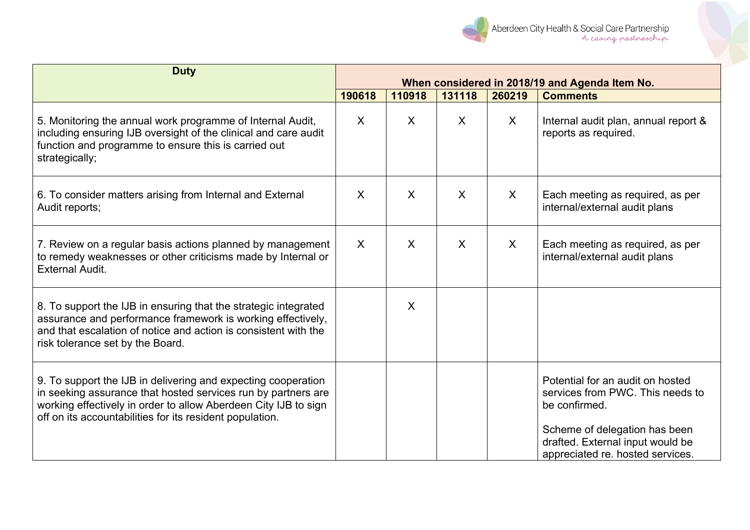|                                                                                                                                                                                                                                                               |                                                |              |              |              | Aberdeen City Health & Social Care Partnership<br>A casing partnership                                                                                                                         |  |  |
|---------------------------------------------------------------------------------------------------------------------------------------------------------------------------------------------------------------------------------------------------------------|------------------------------------------------|--------------|--------------|--------------|------------------------------------------------------------------------------------------------------------------------------------------------------------------------------------------------|--|--|
| <b>Duty</b>                                                                                                                                                                                                                                                   | When considered in 2018/19 and Agenda Item No. |              |              |              |                                                                                                                                                                                                |  |  |
|                                                                                                                                                                                                                                                               | 190618                                         | 110918       | 131118       | 260219       | <b>Comments</b>                                                                                                                                                                                |  |  |
| 5. Monitoring the annual work programme of Internal Audit,<br>including ensuring IJB oversight of the clinical and care audit<br>function and programme to ensure this is carried out<br>strategically;                                                       | $\sf X$                                        | $\sf X$      | $\mathsf{X}$ | $\mathsf{X}$ | Internal audit plan, annual report &<br>reports as required.                                                                                                                                   |  |  |
| 6. To consider matters arising from Internal and External<br>Audit reports;                                                                                                                                                                                   | $\mathsf{X}$                                   | $\sf X$      | $\mathsf{X}$ | X            | Each meeting as required, as per<br>internal/external audit plans                                                                                                                              |  |  |
| 7. Review on a regular basis actions planned by management<br>to remedy weaknesses or other criticisms made by Internal or<br><b>External Audit.</b>                                                                                                          | $\mathsf{X}$                                   | $\mathsf{X}$ | $\mathsf{X}$ | $\sf X$      | Each meeting as required, as per<br>internal/external audit plans                                                                                                                              |  |  |
| 8. To support the IJB in ensuring that the strategic integrated<br>assurance and performance framework is working effectively,<br>and that escalation of notice and action is consistent with the<br>risk tolerance set by the Board.                         |                                                | $\sf X$      |              |              |                                                                                                                                                                                                |  |  |
| 9. To support the IJB in delivering and expecting cooperation<br>in seeking assurance that hosted services run by partners are<br>working effectively in order to allow Aberdeen City IJB to sign<br>off on its accountabilities for its resident population. |                                                |              |              |              | Potential for an audit on hosted<br>services from PWC. This needs to<br>be confirmed.<br>Scheme of delegation has been<br>drafted. External input would be<br>appreciated re. hosted services. |  |  |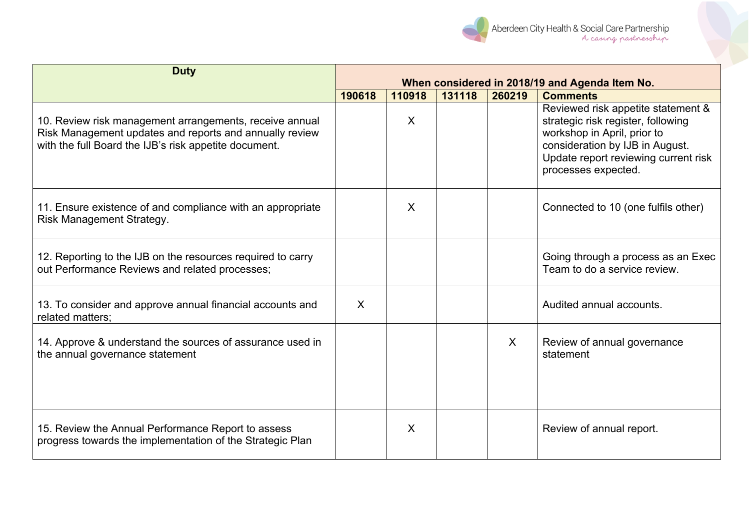| <b>Duty</b>                                                                                                                                                                 | When considered in 2018/19 and Agenda Item No. |              |        |              |                                                                                                                                                                                                           |  |  |
|-----------------------------------------------------------------------------------------------------------------------------------------------------------------------------|------------------------------------------------|--------------|--------|--------------|-----------------------------------------------------------------------------------------------------------------------------------------------------------------------------------------------------------|--|--|
|                                                                                                                                                                             | 190618                                         | 110918       | 131118 | 260219       | <b>Comments</b>                                                                                                                                                                                           |  |  |
| 10. Review risk management arrangements, receive annual<br>Risk Management updates and reports and annually review<br>with the full Board the IJB's risk appetite document. |                                                | X            |        |              | Reviewed risk appetite statement &<br>strategic risk register, following<br>workshop in April, prior to<br>consideration by IJB in August.<br>Update report reviewing current risk<br>processes expected. |  |  |
| 11. Ensure existence of and compliance with an appropriate<br>Risk Management Strategy.                                                                                     |                                                | $\mathsf{X}$ |        |              | Connected to 10 (one fulfils other)                                                                                                                                                                       |  |  |
| 12. Reporting to the IJB on the resources required to carry<br>out Performance Reviews and related processes;                                                               |                                                |              |        |              | Going through a process as an Exec<br>Team to do a service review.                                                                                                                                        |  |  |
| 13. To consider and approve annual financial accounts and<br>related matters;                                                                                               | $\mathsf{X}$                                   |              |        |              | Audited annual accounts.                                                                                                                                                                                  |  |  |
| 14. Approve & understand the sources of assurance used in<br>the annual governance statement                                                                                |                                                |              |        | $\mathsf{X}$ | Review of annual governance<br>statement                                                                                                                                                                  |  |  |
| 15. Review the Annual Performance Report to assess<br>progress towards the implementation of the Strategic Plan                                                             |                                                | X            |        |              | Review of annual report.                                                                                                                                                                                  |  |  |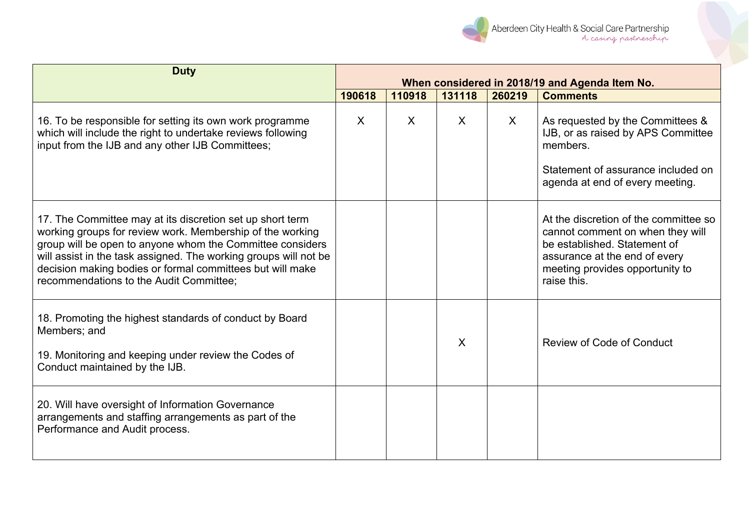|                                                                                                                                                                                                                                                                                                                                                                 |         |                                                |              |         | Aberdeen City Health & Social Care Partnership<br>A casing partnership                                                                                                                       |  |  |
|-----------------------------------------------------------------------------------------------------------------------------------------------------------------------------------------------------------------------------------------------------------------------------------------------------------------------------------------------------------------|---------|------------------------------------------------|--------------|---------|----------------------------------------------------------------------------------------------------------------------------------------------------------------------------------------------|--|--|
| <b>Duty</b>                                                                                                                                                                                                                                                                                                                                                     |         | When considered in 2018/19 and Agenda Item No. |              |         |                                                                                                                                                                                              |  |  |
|                                                                                                                                                                                                                                                                                                                                                                 | 190618  | 110918                                         | 131118       | 260219  | <b>Comments</b>                                                                                                                                                                              |  |  |
| 16. To be responsible for setting its own work programme<br>which will include the right to undertake reviews following<br>input from the IJB and any other IJB Committees;                                                                                                                                                                                     | $\sf X$ | $\sf X$                                        | $\sf X$      | $\sf X$ | As requested by the Committees &<br>IJB, or as raised by APS Committee<br>members.<br>Statement of assurance included on<br>agenda at end of every meeting.                                  |  |  |
| 17. The Committee may at its discretion set up short term<br>working groups for review work. Membership of the working<br>group will be open to anyone whom the Committee considers<br>will assist in the task assigned. The working groups will not be<br>decision making bodies or formal committees but will make<br>recommendations to the Audit Committee; |         |                                                |              |         | At the discretion of the committee so<br>cannot comment on when they will<br>be established. Statement of<br>assurance at the end of every<br>meeting provides opportunity to<br>raise this. |  |  |
| 18. Promoting the highest standards of conduct by Board<br>Members; and<br>19. Monitoring and keeping under review the Codes of<br>Conduct maintained by the IJB.                                                                                                                                                                                               |         |                                                | $\mathsf{X}$ |         | <b>Review of Code of Conduct</b>                                                                                                                                                             |  |  |
| 20. Will have oversight of Information Governance<br>arrangements and staffing arrangements as part of the<br>Performance and Audit process.                                                                                                                                                                                                                    |         |                                                |              |         |                                                                                                                                                                                              |  |  |